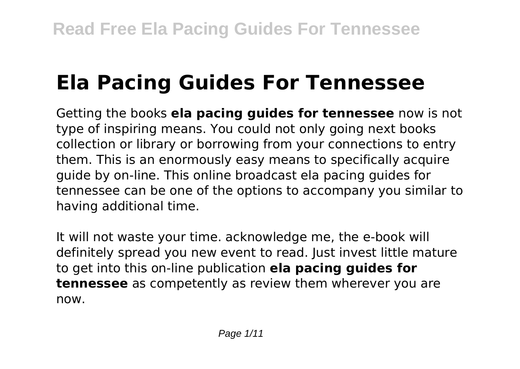# **Ela Pacing Guides For Tennessee**

Getting the books **ela pacing guides for tennessee** now is not type of inspiring means. You could not only going next books collection or library or borrowing from your connections to entry them. This is an enormously easy means to specifically acquire guide by on-line. This online broadcast ela pacing guides for tennessee can be one of the options to accompany you similar to having additional time.

It will not waste your time. acknowledge me, the e-book will definitely spread you new event to read. Just invest little mature to get into this on-line publication **ela pacing guides for tennessee** as competently as review them wherever you are now.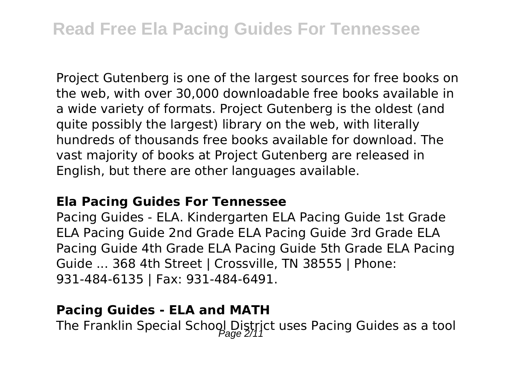Project Gutenberg is one of the largest sources for free books on the web, with over 30,000 downloadable free books available in a wide variety of formats. Project Gutenberg is the oldest (and quite possibly the largest) library on the web, with literally hundreds of thousands free books available for download. The vast majority of books at Project Gutenberg are released in English, but there are other languages available.

### **Ela Pacing Guides For Tennessee**

Pacing Guides - ELA. Kindergarten ELA Pacing Guide 1st Grade ELA Pacing Guide 2nd Grade ELA Pacing Guide 3rd Grade ELA Pacing Guide 4th Grade ELA Pacing Guide 5th Grade ELA Pacing Guide ... 368 4th Street | Crossville, TN 38555 | Phone: 931-484-6135 | Fax: 931-484-6491.

### **Pacing Guides - ELA and MATH**

The Franklin Special School District uses Pacing Guides as a tool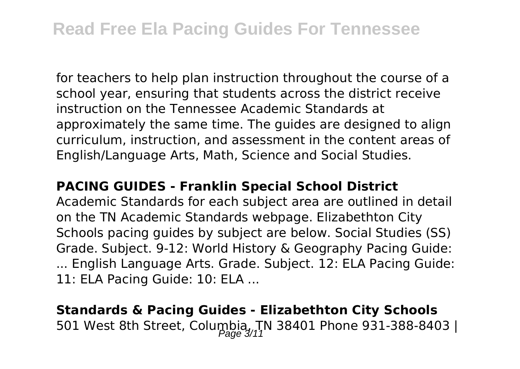for teachers to help plan instruction throughout the course of a school year, ensuring that students across the district receive instruction on the Tennessee Academic Standards at approximately the same time. The guides are designed to align curriculum, instruction, and assessment in the content areas of English/Language Arts, Math, Science and Social Studies.

### **PACING GUIDES - Franklin Special School District**

Academic Standards for each subject area are outlined in detail on the TN Academic Standards webpage. Elizabethton City Schools pacing guides by subject are below. Social Studies (SS) Grade. Subject. 9-12: World History & Geography Pacing Guide: ... English Language Arts. Grade. Subject. 12: ELA Pacing Guide: 11: ELA Pacing Guide: 10: ELA ...

## **Standards & Pacing Guides - Elizabethton City Schools** 501 West 8th Street, Columbia, TN 38401 Phone 931-388-8403 |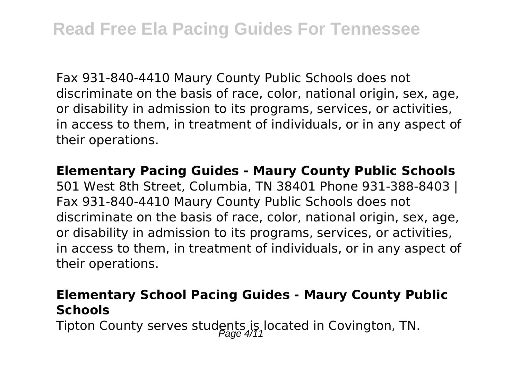Fax 931-840-4410 Maury County Public Schools does not discriminate on the basis of race, color, national origin, sex, age, or disability in admission to its programs, services, or activities, in access to them, in treatment of individuals, or in any aspect of their operations.

**Elementary Pacing Guides - Maury County Public Schools** 501 West 8th Street, Columbia, TN 38401 Phone 931-388-8403 | Fax 931-840-4410 Maury County Public Schools does not discriminate on the basis of race, color, national origin, sex, age, or disability in admission to its programs, services, or activities, in access to them, in treatment of individuals, or in any aspect of their operations.

### **Elementary School Pacing Guides - Maury County Public Schools**

Tipton County serves students is located in Covington, TN.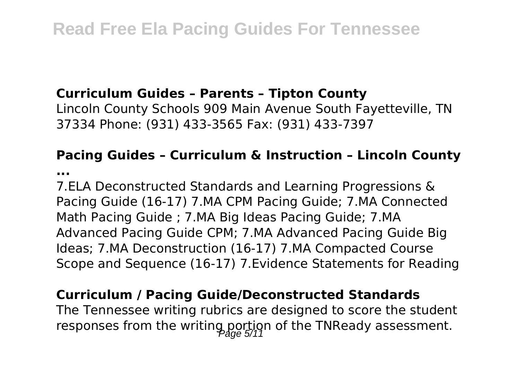### **Curriculum Guides – Parents – Tipton County**

Lincoln County Schools 909 Main Avenue South Fayetteville, TN 37334 Phone: (931) 433-3565 Fax: (931) 433-7397

### **Pacing Guides – Curriculum & Instruction – Lincoln County**

**...**

7.ELA Deconstructed Standards and Learning Progressions & Pacing Guide (16-17) 7.MA CPM Pacing Guide; 7.MA Connected Math Pacing Guide ; 7.MA Big Ideas Pacing Guide; 7.MA Advanced Pacing Guide CPM; 7.MA Advanced Pacing Guide Big Ideas; 7.MA Deconstruction (16-17) 7.MA Compacted Course Scope and Sequence (16-17) 7.Evidence Statements for Reading

### **Curriculum / Pacing Guide/Deconstructed Standards**

The Tennessee writing rubrics are designed to score the student responses from the writing portion of the TNReady assessment.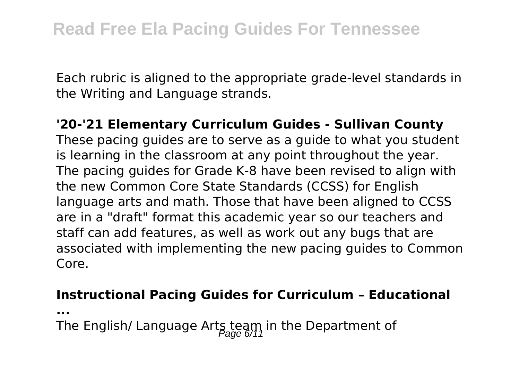Each rubric is aligned to the appropriate grade-level standards in the Writing and Language strands.

# **'20-'21 Elementary Curriculum Guides - Sullivan County**

These pacing guides are to serve as a guide to what you student is learning in the classroom at any point throughout the year. The pacing guides for Grade K-8 have been revised to align with the new Common Core State Standards (CCSS) for English language arts and math. Those that have been aligned to CCSS are in a "draft" format this academic year so our teachers and staff can add features, as well as work out any bugs that are associated with implementing the new pacing guides to Common Core.

### **Instructional Pacing Guides for Curriculum – Educational**

**...**

The English/ Language Arts team in the Department of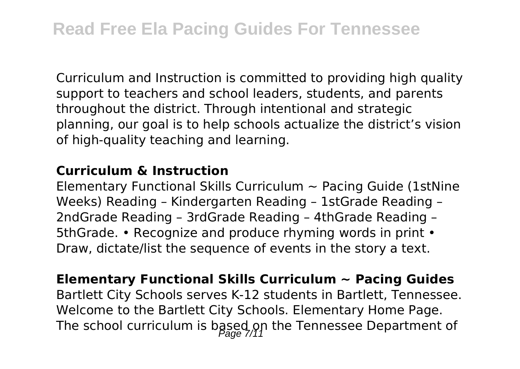Curriculum and Instruction is committed to providing high quality support to teachers and school leaders, students, and parents throughout the district. Through intentional and strategic planning, our goal is to help schools actualize the district's vision of high-quality teaching and learning.

### **Curriculum & Instruction**

Elementary Functional Skills Curriculum  $\sim$  Pacing Guide (1stNine) Weeks) Reading – Kindergarten Reading – 1stGrade Reading – 2ndGrade Reading – 3rdGrade Reading – 4thGrade Reading – 5thGrade. • Recognize and produce rhyming words in print • Draw, dictate/list the sequence of events in the story a text.

### **Elementary Functional Skills Curriculum ~ Pacing Guides** Bartlett City Schools serves K-12 students in Bartlett, Tennessee. Welcome to the Bartlett City Schools. Elementary Home Page. The school curriculum is based on the Tennessee Department of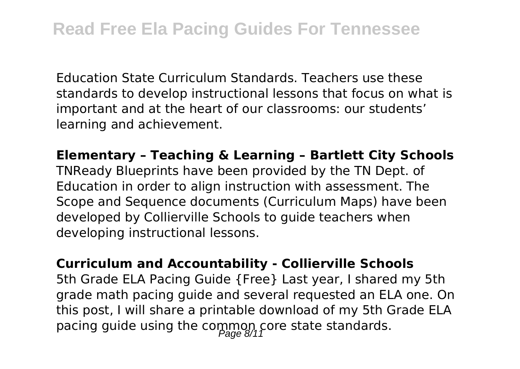Education State Curriculum Standards. Teachers use these standards to develop instructional lessons that focus on what is important and at the heart of our classrooms: our students' learning and achievement.

**Elementary – Teaching & Learning – Bartlett City Schools** TNReady Blueprints have been provided by the TN Dept. of Education in order to align instruction with assessment. The Scope and Sequence documents (Curriculum Maps) have been developed by Collierville Schools to guide teachers when developing instructional lessons.

**Curriculum and Accountability - Collierville Schools** 5th Grade ELA Pacing Guide {Free} Last year, I shared my 5th grade math pacing guide and several requested an ELA one. On this post, I will share a printable download of my 5th Grade ELA pacing guide using the common core state standards.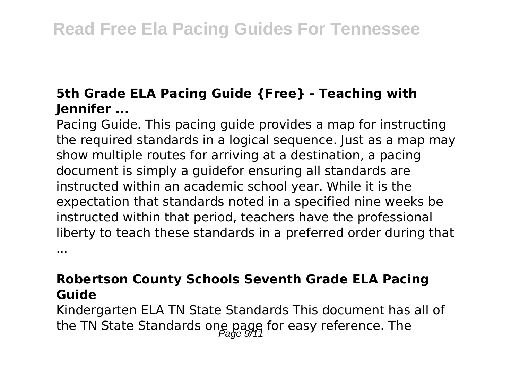### **5th Grade ELA Pacing Guide {Free} - Teaching with Jennifer ...**

Pacing Guide. This pacing guide provides a map for instructing the required standards in a logical sequence. Just as a map may show multiple routes for arriving at a destination, a pacing document is simply a guidefor ensuring all standards are instructed within an academic school year. While it is the expectation that standards noted in a specified nine weeks be instructed within that period, teachers have the professional liberty to teach these standards in a preferred order during that ...

**Robertson County Schools Seventh Grade ELA Pacing Guide**

Kindergarten ELA TN State Standards This document has all of the TN State Standards one page for easy reference. The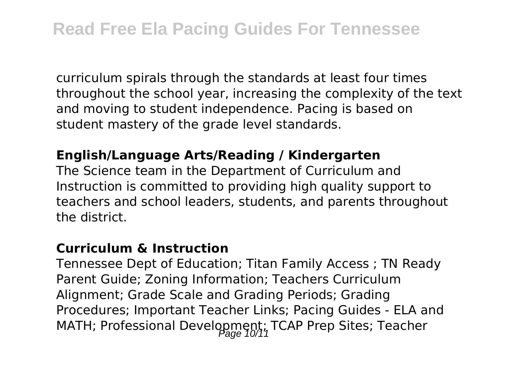curriculum spirals through the standards at least four times throughout the school year, increasing the complexity of the text and moving to student independence. Pacing is based on student mastery of the grade level standards.

### **English/Language Arts/Reading / Kindergarten**

The Science team in the Department of Curriculum and Instruction is committed to providing high quality support to teachers and school leaders, students, and parents throughout the district.

### **Curriculum & Instruction**

Tennessee Dept of Education; Titan Family Access ; TN Ready Parent Guide; Zoning Information; Teachers Curriculum Alignment; Grade Scale and Grading Periods; Grading Procedures; Important Teacher Links; Pacing Guides - ELA and MATH; Professional Development; TCAP Prep Sites; Teacher